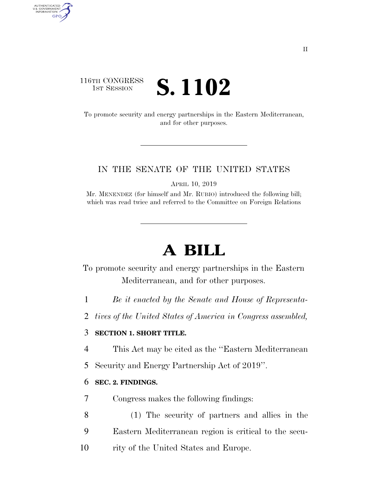### 116TH CONGRESS **1ST SESSION S. 1102**

AUTHENTICATED<br>U.S. GOVERNMENT<br>INFORMATION

**GPO** 

To promote security and energy partnerships in the Eastern Mediterranean, and for other purposes.

#### IN THE SENATE OF THE UNITED STATES

APRIL 10, 2019

Mr. MENENDEZ (for himself and Mr. RUBIO) introduced the following bill; which was read twice and referred to the Committee on Foreign Relations

# **A BILL**

To promote security and energy partnerships in the Eastern Mediterranean, and for other purposes.

- 1 *Be it enacted by the Senate and House of Representa-*
- 2 *tives of the United States of America in Congress assembled,*

#### 3 **SECTION 1. SHORT TITLE.**

- 4 This Act may be cited as the ''Eastern Mediterranean
- 5 Security and Energy Partnership Act of 2019''.

#### 6 **SEC. 2. FINDINGS.**

- 7 Congress makes the following findings:
- 8 (1) The security of partners and allies in the 9 Eastern Mediterranean region is critical to the secu-
- 10 rity of the United States and Europe.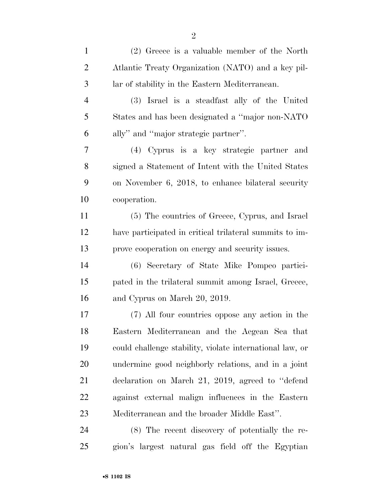| $\mathbf{1}$   | $(2)$ Greece is a valuable member of the North           |
|----------------|----------------------------------------------------------|
| $\overline{2}$ | Atlantic Treaty Organization (NATO) and a key pil-       |
| 3              | lar of stability in the Eastern Mediterranean.           |
| $\overline{4}$ | (3) Israel is a steadfast ally of the United             |
| 5              | States and has been designated a "major non-NATO"        |
| 6              | ally" and "major strategic partner".                     |
| 7              | (4) Cyprus is a key strategic partner and                |
| 8              | signed a Statement of Intent with the United States      |
| 9              | on November 6, 2018, to enhance bilateral security       |
| 10             | cooperation.                                             |
| 11             | (5) The countries of Greece, Cyprus, and Israel          |
| 12             | have participated in critical trilateral summits to im-  |
| 13             | prove cooperation on energy and security issues.         |
| 14             | (6) Secretary of State Mike Pompeo partici-              |
| 15             | pated in the trilateral summit among Israel, Greece,     |
| 16             | and Cyprus on March 20, 2019.                            |
| 17             | (7) All four countries oppose any action in the          |
| 18             | Eastern Mediterranean and the Aegean Sea that            |
| 19             | could challenge stability, violate international law, or |
| 20             | undermine good neighborly relations, and in a joint      |
| 21             | declaration on March 21, 2019, agreed to "defend"        |
| 22             | against external malign influences in the Eastern        |
| 23             | Mediterranean and the broader Middle East".              |
| 24             | (8) The recent discovery of potentially the re-          |
| 25             | gion's largest natural gas field off the Egyptian        |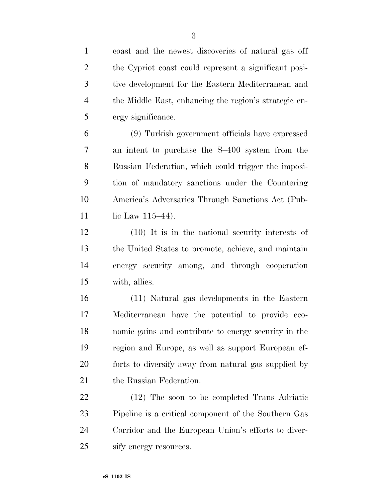coast and the newest discoveries of natural gas off the Cypriot coast could represent a significant posi- tive development for the Eastern Mediterranean and the Middle East, enhancing the region's strategic en-ergy significance.

 (9) Turkish government officials have expressed an intent to purchase the S–400 system from the Russian Federation, which could trigger the imposi- tion of mandatory sanctions under the Countering America's Adversaries Through Sanctions Act (Pub-11 lie Law 115–44).

 (10) It is in the national security interests of the United States to promote, achieve, and maintain energy security among, and through cooperation with, allies.

 (11) Natural gas developments in the Eastern Mediterranean have the potential to provide eco- nomic gains and contribute to energy security in the region and Europe, as well as support European ef- forts to diversify away from natural gas supplied by 21 the Russian Federation.

 (12) The soon to be completed Trans Adriatic Pipeline is a critical component of the Southern Gas Corridor and the European Union's efforts to diver-sify energy resources.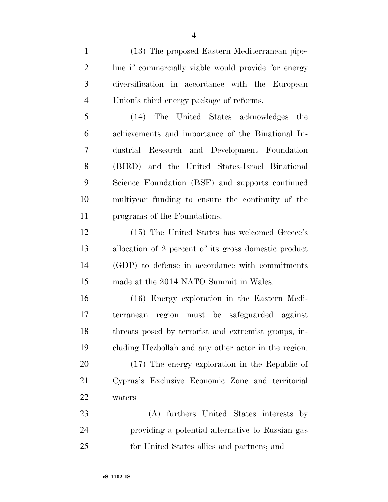(13) The proposed Eastern Mediterranean pipe- line if commercially viable would provide for energy diversification in accordance with the European Union's third energy package of reforms.

 (14) The United States acknowledges the achievements and importance of the Binational In- dustrial Research and Development Foundation (BIRD) and the United States-Israel Binational Science Foundation (BSF) and supports continued multiyear funding to ensure the continuity of the programs of the Foundations.

 (15) The United States has welcomed Greece's allocation of 2 percent of its gross domestic product (GDP) to defense in accordance with commitments made at the 2014 NATO Summit in Wales.

 (16) Energy exploration in the Eastern Medi- terranean region must be safeguarded against threats posed by terrorist and extremist groups, in-cluding Hezbollah and any other actor in the region.

 (17) The energy exploration in the Republic of Cyprus's Exclusive Economic Zone and territorial waters—

 (A) furthers United States interests by providing a potential alternative to Russian gas for United States allies and partners; and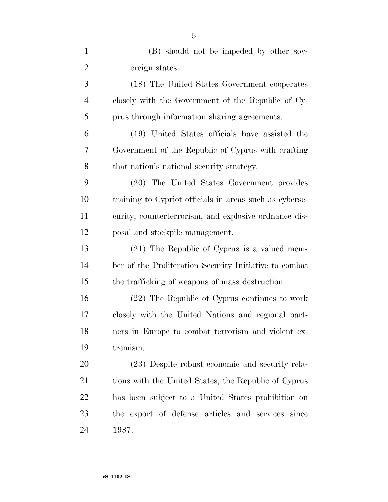| $\mathbf{1}$   | (B) should not be impeded by other sov-                 |
|----------------|---------------------------------------------------------|
| $\overline{2}$ | ereign states.                                          |
| 3              | (18) The United States Government cooperates            |
| 4              | closely with the Government of the Republic of Cy-      |
| 5              | prus through information sharing agreements.            |
| 6              | (19) United States officials have assisted the          |
| 7              | Government of the Republic of Cyprus with crafting      |
| 8              | that nation's national security strategy.               |
| 9              | (20) The United States Government provides              |
| 10             | training to Cypriot officials in areas such as cyberse- |
| 11             | curity, counterterrorism, and explosive ordnance dis-   |
| 12             | posal and stockpile management.                         |
| 13             | (21) The Republic of Cyprus is a valued mem-            |
| 14             | ber of the Proliferation Security Initiative to combat  |
| 15             | the trafficking of weapons of mass destruction.         |
| 16             | (22) The Republic of Cyprus continues to work           |
| 17             | closely with the United Nations and regional part-      |
| 18             | ners in Europe to combat terrorism and violent ex-      |
| 19             | tremism.                                                |
| 20             | (23) Despite robust economic and security rela-         |
| 21             | tions with the United States, the Republic of Cyprus    |
| <u>22</u>      | has been subject to a United States prohibition on      |
| 23             | the export of defense articles and services since       |
| 24             | 1987.                                                   |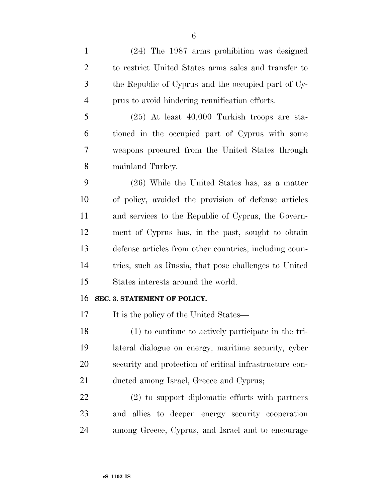(24) The 1987 arms prohibition was designed to restrict United States arms sales and transfer to the Republic of Cyprus and the occupied part of Cy- prus to avoid hindering reunification efforts. (25) At least 40,000 Turkish troops are sta- tioned in the occupied part of Cyprus with some weapons procured from the United States through mainland Turkey. (26) While the United States has, as a matter of policy, avoided the provision of defense articles and services to the Republic of Cyprus, the Govern- ment of Cyprus has, in the past, sought to obtain defense articles from other countries, including coun- tries, such as Russia, that pose challenges to United States interests around the world. **SEC. 3. STATEMENT OF POLICY.**  17 It is the policy of the United States— (1) to continue to actively participate in the tri- lateral dialogue on energy, maritime security, cyber security and protection of critical infrastructure con- ducted among Israel, Greece and Cyprus; (2) to support diplomatic efforts with partners and allies to deepen energy security cooperation among Greece, Cyprus, and Israel and to encourage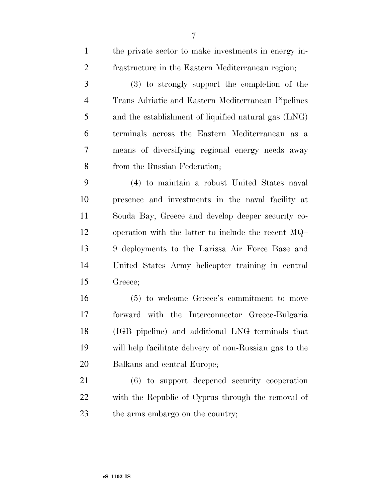| $\mathbf{1}$   | the private sector to make investments in energy in-    |
|----------------|---------------------------------------------------------|
| $\overline{2}$ | frastructure in the Eastern Mediterranean region;       |
| 3              | (3) to strongly support the completion of the           |
| $\overline{4}$ | Trans Adriatic and Eastern Mediterranean Pipelines      |
| 5              | and the establishment of liquified natural gas (LNG)    |
| 6              | terminals across the Eastern Mediterranean as a         |
| 7              | means of diversifying regional energy needs away        |
| 8              | from the Russian Federation;                            |
| 9              | (4) to maintain a robust United States naval            |
| 10             | presence and investments in the naval facility at       |
| 11             | Souda Bay, Greece and develop deeper security co-       |
| 12             | operation with the latter to include the recent $MQ-$   |
| 13             | 9 deployments to the Larissa Air Force Base and         |
| 14             | United States Army helicopter training in central       |
| 15             | Greece;                                                 |
| 16             | (5) to welcome Greece's commitment to move              |
| 17             | forward with the Interconnector Greece-Bulgaria         |
| 18             | (IGB pipeline) and additional LNG terminals that        |
| 19             | will help facilitate delivery of non-Russian gas to the |
| 20             | Balkans and central Europe;                             |
| 21             | (6) to support deepened security cooperation            |
| 22             | with the Republic of Cyprus through the removal of      |
| 23             | the arms embargo on the country;                        |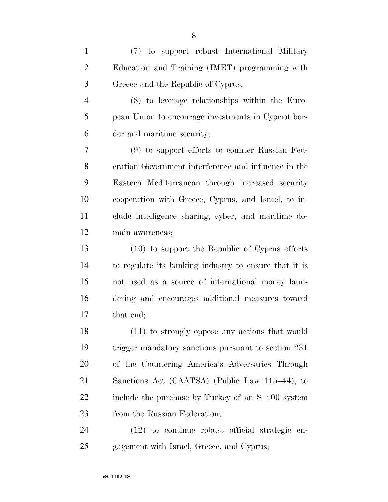(7) to support robust International Military Education and Training (IMET) programming with Greece and the Republic of Cyprus; (8) to leverage relationships within the Euro- pean Union to encourage investments in Cypriot bor- der and maritime security; (9) to support efforts to counter Russian Fed- eration Government interference and influence in the Eastern Mediterranean through increased security cooperation with Greece, Cyprus, and Israel, to in- clude intelligence sharing, cyber, and maritime do- main awareness; (10) to support the Republic of Cyprus efforts to regulate its banking industry to ensure that it is not used as a source of international money laun- dering and encourages additional measures toward that end; (11) to strongly oppose any actions that would trigger mandatory sanctions pursuant to section 231 of the Countering America's Adversaries Through Sanctions Act (CAATSA) (Public Law 115–44), to include the purchase by Turkey of an S–400 system 23 from the Russian Federation; (12) to continue robust official strategic en-gagement with Israel, Greece, and Cyprus;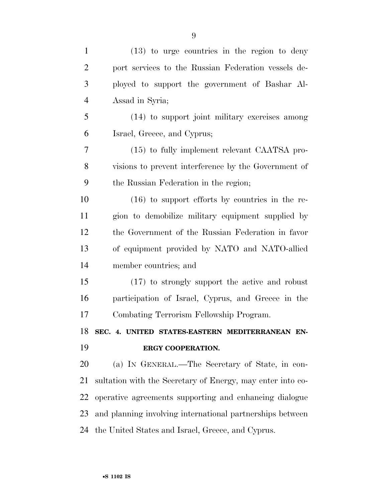| $\mathbf{1}$   | $(13)$ to urge countries in the region to deny             |
|----------------|------------------------------------------------------------|
| $\overline{2}$ | port services to the Russian Federation vessels de-        |
| 3              | ployed to support the government of Bashar Al-             |
| $\overline{4}$ | Assad in Syria;                                            |
| 5              | (14) to support joint military exercises among             |
| 6              | Israel, Greece, and Cyprus;                                |
| 7              | (15) to fully implement relevant CAATSA pro-               |
| 8              | visions to prevent interference by the Government of       |
| 9              | the Russian Federation in the region;                      |
| 10             | $(16)$ to support efforts by countries in the re-          |
| 11             | gion to demobilize military equipment supplied by          |
| 12             | the Government of the Russian Federation in favor          |
| 13             | of equipment provided by NATO and NATO-allied              |
| 14             | member countries; and                                      |
| 15             |                                                            |
|                | (17) to strongly support the active and robust             |
| 16             | participation of Israel, Cyprus, and Greece in the         |
|                | Combating Terrorism Fellowship Program.                    |
|                | SEC. 4. UNITED STATES-EASTERN MEDITERRANEAN EN-            |
| 17<br>18<br>19 | ERGY COOPERATION.                                          |
| 20             | (a) IN GENERAL.—The Secretary of State, in con-            |
| 21             | sultation with the Secretary of Energy, may enter into co- |
| 22             | operative agreements supporting and enhancing dialogue     |
| 23             | and planning involving international partnerships between  |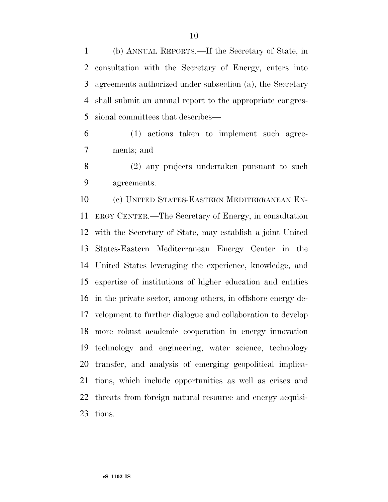(b) ANNUAL REPORTS.—If the Secretary of State, in consultation with the Secretary of Energy, enters into agreements authorized under subsection (a), the Secretary shall submit an annual report to the appropriate congres-sional committees that describes—

 (1) actions taken to implement such agree-ments; and

 (2) any projects undertaken pursuant to such agreements.

 (c) UNITED STATES-EASTERN MEDITERRANEAN EN- ERGY CENTER.—The Secretary of Energy, in consultation with the Secretary of State, may establish a joint United States-Eastern Mediterranean Energy Center in the United States leveraging the experience, knowledge, and expertise of institutions of higher education and entities in the private sector, among others, in offshore energy de- velopment to further dialogue and collaboration to develop more robust academic cooperation in energy innovation technology and engineering, water science, technology transfer, and analysis of emerging geopolitical implica- tions, which include opportunities as well as crises and threats from foreign natural resource and energy acquisi-tions.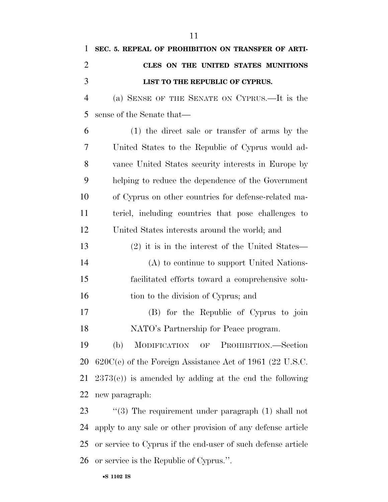| $\mathbf{1}$   | SEC. 5. REPEAL OF PROHIBITION ON TRANSFER OF ARTI-           |
|----------------|--------------------------------------------------------------|
| $\overline{2}$ | CLES ON THE UNITED STATES MUNITIONS                          |
| 3              | LIST TO THE REPUBLIC OF CYPRUS.                              |
| $\overline{4}$ | (a) SENSE OF THE SENATE ON CYPRUS.—It is the                 |
| 5              | sense of the Senate that—                                    |
| 6              | $(1)$ the direct sale or transfer of arms by the             |
| 7              | United States to the Republic of Cyprus would ad-            |
| 8              | vance United States security interests in Europe by          |
| 9              | helping to reduce the dependence of the Government           |
| 10             | of Cyprus on other countries for defense-related ma-         |
| 11             | teriel, including countries that pose challenges to          |
| 12             | United States interests around the world; and                |
| 13             | (2) it is in the interest of the United States—              |
| 14             | (A) to continue to support United Nations-                   |
| 15             | facilitated efforts toward a comprehensive solu-             |
| 16             | tion to the division of Cyprus; and                          |
| 17             | (B) for the Republic of Cyprus to join                       |
| 18             | NATO's Partnership for Peace program.                        |
| 19             | (b)<br>MODIFICATION OF PROHIBITION.—Section                  |
| 20             | $620C(e)$ of the Foreign Assistance Act of 1961 (22 U.S.C.   |
| 21             | $2373(e)$ ) is amended by adding at the end the following    |
| 22             | new paragraph:                                               |
| 23             | "(3) The requirement under paragraph $(1)$ shall not         |
| 24             | apply to any sale or other provision of any defense article  |
| 25             | or service to Cyprus if the end-user of such defense article |

or service is the Republic of Cyprus.''.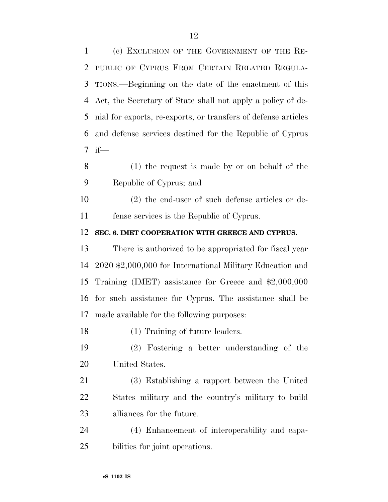(c) EXCLUSION OF THE GOVERNMENT OF THE RE-

 PUBLIC OF CYPRUS FROM CERTAIN RELATED REGULA- TIONS.—Beginning on the date of the enactment of this Act, the Secretary of State shall not apply a policy of de- nial for exports, re-exports, or transfers of defense articles and defense services destined for the Republic of Cyprus 7 if— (1) the request is made by or on behalf of the Republic of Cyprus; and (2) the end-user of such defense articles or de- fense services is the Republic of Cyprus. **SEC. 6. IMET COOPERATION WITH GREECE AND CYPRUS.**  There is authorized to be appropriated for fiscal year 2020 \$2,000,000 for International Military Education and Training (IMET) assistance for Greece and \$2,000,000 for such assistance for Cyprus. The assistance shall be made available for the following purposes: (1) Training of future leaders. (2) Fostering a better understanding of the United States. (3) Establishing a rapport between the United States military and the country's military to build alliances for the future. (4) Enhancement of interoperability and capa-bilities for joint operations.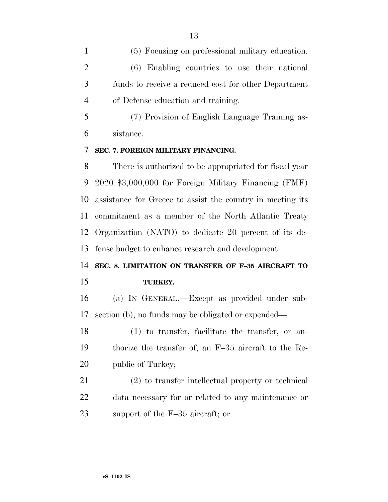(5) Focusing on professional military education. (6) Enabling countries to use their national funds to receive a reduced cost for other Department of Defense education and training.

 (7) Provision of English Language Training as-sistance.

#### **SEC. 7. FOREIGN MILITARY FINANCING.**

 There is authorized to be appropriated for fiscal year 2020 \$3,000,000 for Foreign Military Financing (FMF) assistance for Greece to assist the country in meeting its commitment as a member of the North Atlantic Treaty Organization (NATO) to dedicate 20 percent of its de-fense budget to enhance research and development.

## **SEC. 8. LIMITATION ON TRANSFER OF F–35 AIRCRAFT TO TURKEY.**

 (a) IN GENERAL.—Except as provided under sub-section (b), no funds may be obligated or expended—

 (1) to transfer, facilitate the transfer, or au- thorize the transfer of, an F–35 aircraft to the Re-20 public of Turkey;

 (2) to transfer intellectual property or technical data necessary for or related to any maintenance or support of the F–35 aircraft; or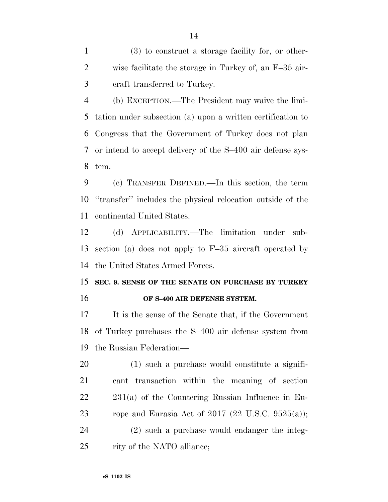(3) to construct a storage facility for, or other- wise facilitate the storage in Turkey of, an F–35 air-craft transferred to Turkey.

 (b) EXCEPTION.—The President may waive the limi- tation under subsection (a) upon a written certification to Congress that the Government of Turkey does not plan or intend to accept delivery of the S–400 air defense sys-tem.

 (c) TRANSFER DEFINED.—In this section, the term ''transfer'' includes the physical relocation outside of the continental United States.

 (d) APPLICABILITY.—The limitation under sub- section (a) does not apply to F–35 aircraft operated by the United States Armed Forces.

 **SEC. 9. SENSE OF THE SENATE ON PURCHASE BY TURKEY OF S–400 AIR DEFENSE SYSTEM.** 

 It is the sense of the Senate that, if the Government of Turkey purchases the S–400 air defense system from the Russian Federation—

 (1) such a purchase would constitute a signifi- cant transaction within the meaning of section 231(a) of the Countering Russian Influence in Eu-23 rope and Eurasia Act of 2017  $(22 \text{ U.S.C. } 9525(a));$ 

 (2) such a purchase would endanger the integ-rity of the NATO alliance;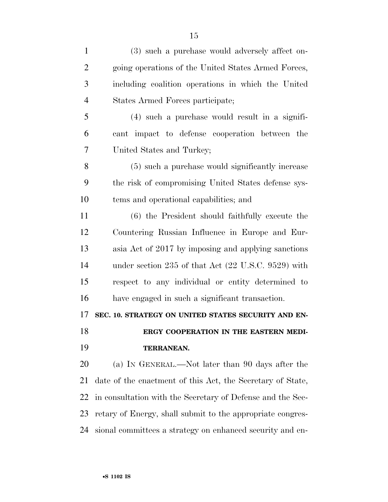| $\mathbf{1}$   | (3) such a purchase would adversely affect on-                 |
|----------------|----------------------------------------------------------------|
| $\overline{2}$ | going operations of the United States Armed Forces,            |
| 3              | including coalition operations in which the United             |
| $\overline{4}$ | States Armed Forces participate;                               |
| 5              | $(4)$ such a purchase would result in a signifi-               |
| 6              | cant impact to defense cooperation between the                 |
| 7              | United States and Turkey;                                      |
| 8              | (5) such a purchase would significantly increase               |
| 9              | the risk of compromising United States defense sys-            |
| 10             | tems and operational capabilities; and                         |
| 11             | (6) the President should faithfully execute the                |
| 12             | Countering Russian Influence in Europe and Eur-                |
| 13             | asia Act of 2017 by imposing and applying sanctions            |
| 14             | under section 235 of that Act $(22 \text{ U.S.C. } 9529)$ with |
| 15             | respect to any individual or entity determined to              |
| 16             | have engaged in such a significant transaction.                |
| 17             | SEC. 10. STRATEGY ON UNITED STATES SECURITY AND EN-            |
| 18             | ERGY COOPERATION IN THE EASTERN MEDI-                          |
| 19             | TERRANEAN.                                                     |
| 20             | (a) IN GENERAL.—Not later than 90 days after the               |
| 21             | date of the enactment of this Act, the Secretary of State,     |
| 22             | in consultation with the Secretary of Defense and the Sec-     |
| 23             | retary of Energy, shall submit to the appropriate congres-     |
| 24             | sional committees a strategy on enhanced security and en-      |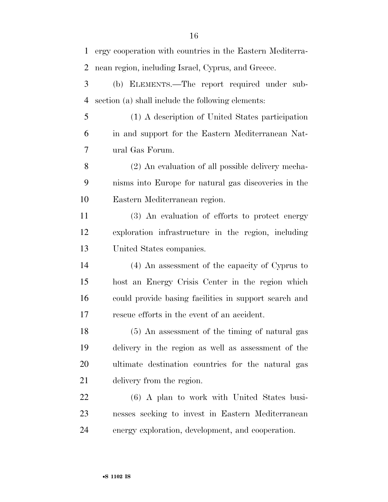| $\mathbf{1}$   | ergy cooperation with countries in the Eastern Mediterra- |
|----------------|-----------------------------------------------------------|
| $\overline{2}$ | nean region, including Israel, Cyprus, and Greece.        |
| 3              | (b) ELEMENTS.—The report required under sub-              |
| $\overline{4}$ | section (a) shall include the following elements:         |
| 5              | (1) A description of United States participation          |
| 6              | in and support for the Eastern Mediterranean Nat-         |
| 7              | ural Gas Forum.                                           |
| 8              | (2) An evaluation of all possible delivery mecha-         |
| 9              | nisms into Europe for natural gas discoveries in the      |
| 10             | Eastern Mediterranean region.                             |
| 11             | (3) An evaluation of efforts to protect energy            |
| 12             | exploration infrastructure in the region, including       |
| 13             | United States companies.                                  |
| 14             | (4) An assessment of the capacity of Cyprus to            |
| 15             | host an Energy Crisis Center in the region which          |
| 16             | could provide basing facilities in support search and     |
| 17             | rescue efforts in the event of an accident.               |
| 18             | (5) An assessment of the timing of natural gas            |
| 19             | delivery in the region as well as assessment of the       |
| 20             | ultimate destination countries for the natural gas        |
| 21             | delivery from the region.                                 |
| 22             | (6) A plan to work with United States busi-               |
| 23             | nesses seeking to invest in Eastern Mediterranean         |
| 24             | energy exploration, development, and cooperation.         |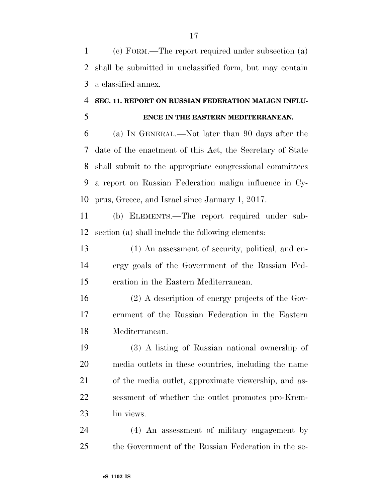(c) FORM.—The report required under subsection (a) shall be submitted in unclassified form, but may contain a classified annex.

#### **SEC. 11. REPORT ON RUSSIAN FEDERATION MALIGN INFLU-**

#### **ENCE IN THE EASTERN MEDITERRANEAN.**

 (a) IN GENERAL.—Not later than 90 days after the date of the enactment of this Act, the Secretary of State shall submit to the appropriate congressional committees a report on Russian Federation malign influence in Cy-prus, Greece, and Israel since January 1, 2017.

 (b) ELEMENTS.—The report required under sub-section (a) shall include the following elements:

 (1) An assessment of security, political, and en- ergy goals of the Government of the Russian Fed-eration in the Eastern Mediterranean.

 (2) A description of energy projects of the Gov- ernment of the Russian Federation in the Eastern Mediterranean.

 (3) A listing of Russian national ownership of media outlets in these countries, including the name of the media outlet, approximate viewership, and as- sessment of whether the outlet promotes pro-Krem-lin views.

 (4) An assessment of military engagement by the Government of the Russian Federation in the se-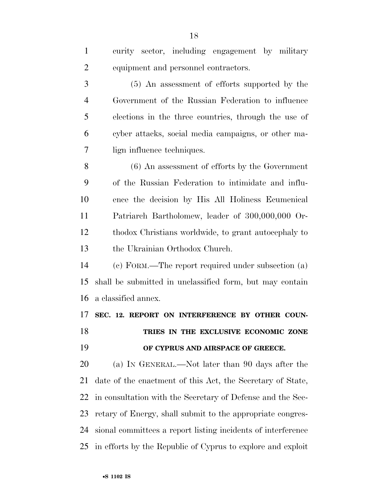| $\mathbf{1}$   | curity sector, including engagement by military              |
|----------------|--------------------------------------------------------------|
| $\overline{2}$ | equipment and personnel contractors.                         |
| 3              | (5) An assessment of efforts supported by the                |
| $\overline{4}$ | Government of the Russian Federation to influence            |
| 5              | elections in the three countries, through the use of         |
| 6              | cyber attacks, social media campaigns, or other ma-          |
| 7              | lign influence techniques.                                   |
| 8              | $(6)$ An assessment of efforts by the Government             |
| 9              | of the Russian Federation to intimidate and influ-           |
| 10             | ence the decision by His All Holiness Ecumenical             |
| 11             | Patriarch Bartholomew, leader of 300,000,000 Or-             |
| 12             | thodox Christians worldwide, to grant autocephaly to         |
| 13             | the Ukrainian Orthodox Church.                               |
| 14             | (c) FORM.—The report required under subsection (a)           |
| 15             | shall be submitted in unclassified form, but may contain     |
| 16             | a classified annex.                                          |
| 17             | SEC. 12. REPORT ON INTERFERENCE BY OTHER COUN-               |
| 18             | TRIES IN THE EXCLUSIVE ECONOMIC ZONE                         |
| 19             | OF CYPRUS AND AIRSPACE OF GREECE.                            |
| 20             | (a) IN GENERAL.—Not later than 90 days after the             |
| 21             | date of the enactment of this Act, the Secretary of State,   |
| 22             | in consultation with the Secretary of Defense and the Sec-   |
| 23             | retary of Energy, shall submit to the appropriate congres-   |
| 24             | sional committees a report listing incidents of interference |
| 25             | in efforts by the Republic of Cyprus to explore and exploit  |